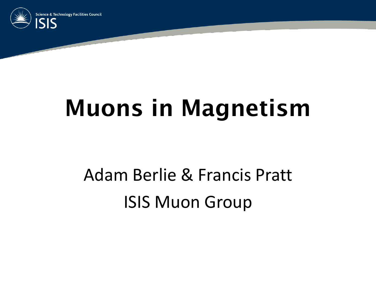

#### Muons in Magnetism

#### Adam Berlie & Francis Pratt ISIS Muon Group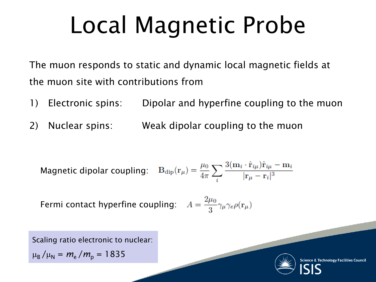## Local Magnetic Probe

The muon responds to static and dynamic local magnetic fields at the muon site with contributions from

- 1) Electronic spins: Dipolar and hyperfine coupling to the muon
- 2) Nuclear spins: Weak dipolar coupling to the muon

Magnetic dipolar coupling: 
$$
B_{\text{dip}}(\mathbf{r}_{\mu}) = \frac{\mu_0}{4\pi} \sum_{i} \frac{3(\mathbf{m}_i \cdot \hat{\mathbf{r}}_{i\mu})\hat{\mathbf{r}}_{i\mu} - \mathbf{m}_i}{|\mathbf{r}_{\mu} - \mathbf{r}_i|^3}
$$

Fermi contact hyperfine coupling:  $A = \frac{2\mu_0}{3} \gamma_\mu \gamma_e \rho(\mathbf{r}_\mu)$ 

Scaling ratio electronic to nuclear:

 $\mu_{\rm B}/\mu_{\rm N} = m_{\rm e}/m_{\rm p} = 1835$ 



cience & Technology Facilities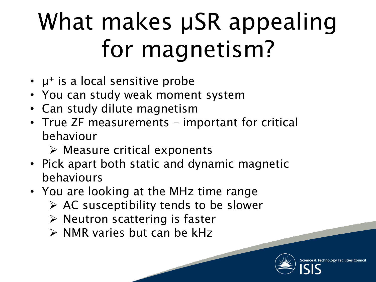# What makes  $\mu$ SR appealing for magnetism?

- $\cdot$   $\mu^{+}$  is a local sensitive probe
- You can study weak moment system
- Can study dilute magnetism
- True ZF measurements important for critical behaviour
	- $\triangleright$  Measure critical exponents
- Pick apart both static and dynamic magnetic behaviours
- You are looking at the MHz time range
	- $\triangleright$  AC susceptibility tends to be slower
	- $\triangleright$  Neutron scattering is faster
	- $\triangleright$  NMR varies but can be kHz

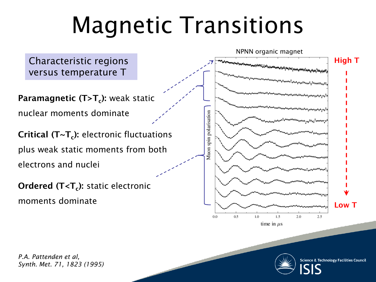### Magnetic Transitions



time in  $\mu$ s



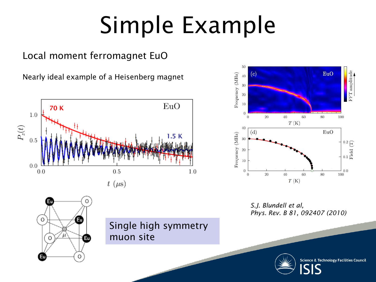# Simple Example

Single high symmetry

muon site

#### Local moment ferromagnet EuO

Nearly ideal example of a Heisenberg magnet



Εu

Ω

 $\circ$ 





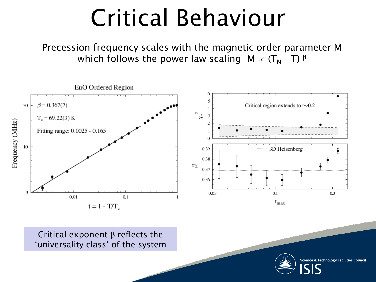#### Critical Behaviour

Precession frequency scales with the magnetic order parameter M which follows the power law scaling  $M \propto (T_N - T)^{\beta}$ 



Critical exponent  $\beta$  reflects the 'universality class' of the system

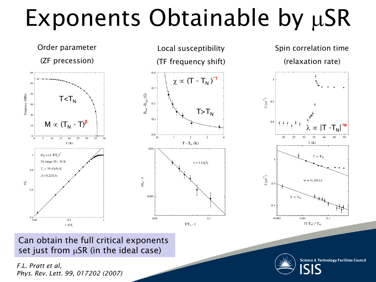## Exponents Obtainable by  $\mu$ SR



Can obtain the full critical exponents set just from  $\mu$ SR (in the ideal case)

*F.L. Pratt et al, Phys. Rev. Lett. 99, 017202 (2007)*

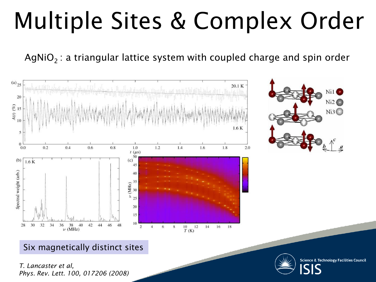## Multiple Sites & Complex Order

AgNiO<sub>2</sub>: a triangular lattice system with coupled charge and spin order



#### Six magnetically distinct sites

*T. Lancaster et al, Phys. Rev. Lett. 100, 017206 (2008)*

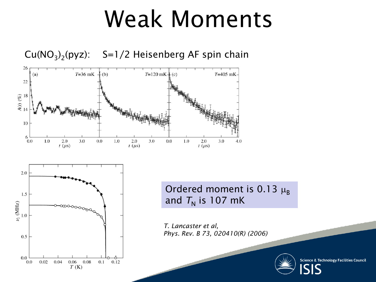#### Weak Moments

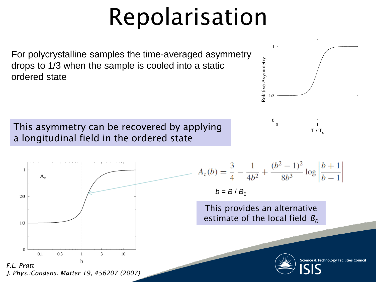## Repolarisation

For polycrystalline samples the time-averaged asymmetry drops to 1/3 when the sample is cooled into a static ordered state

This asymmetry can be recovered by applying a longitudinal field in the ordered state



$$
A_z(b) = \frac{3}{4} - \frac{1}{4b^2} + \frac{(b^2 - 1)^2}{8b^3} \log \left| \frac{b+1}{b-1} \right|
$$
  

$$
b = B/B_0
$$

Relative Asymmetry

 $1/3$ 

 $\mathbf{0}$ 

 $\overline{0}$ 

This provides an alternative estimate of the local field  $B_0$ 



**Science & Technology Facilities Council** 

 $\mathbf{1}$ 

 $T/T_c$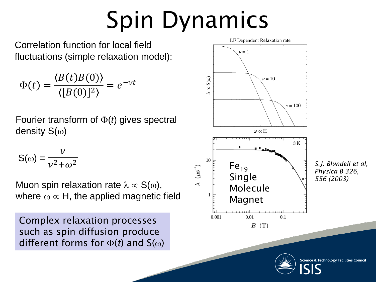# Spin Dynamics

Correlation function for local field fluctuations (simple relaxation model):

$$
\Phi(t) = \frac{\langle B(t)B(0)\rangle}{\langle [B(0)]^2\rangle} = e^{-\nu t}
$$

Fourier transform of  $\Phi(t)$  gives spectral density  $S(\omega)$ 

$$
S(\omega) = \frac{\nu}{\nu^2 + \omega^2}
$$

Muon spin relaxation rate  $\lambda \propto S(\omega)$ , where  $\omega \propto H$ , the applied magnetic field

Complex relaxation processes such as spin diffusion produce different forms for  $\Phi(t)$  and  $S(\omega)$